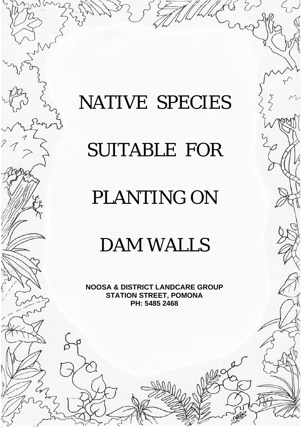# NATIVE SPECIES

# SUITABLE FOR

### PLANTING ON

### DAM WALLS

**NOOSA & DISTRICT LANDCARE GROUP STATION STREET, POMONA PH: 5485 2468**